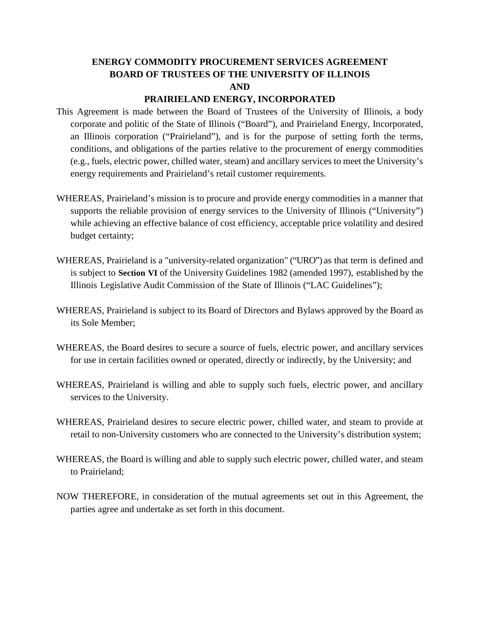# **ENERGY COMMODITY PROCUREMENT SERVICES AGREEMENT BOARD OF TRUSTEES OF THE UNIVERSITY OF ILLINOIS AND**

#### **PRAIRIELAND ENERGY, INCORPORATED**

- This Agreement is made between the Board of Trustees of the University of Illinois, a body corporate and politic of the State of Illinois ("Board"), and Prairieland Energy, Incorporated, an Illinois corporation ("Prairieland"), and is for the purpose of setting forth the terms, conditions, and obligations of the parties relative to the procurement of energy commodities (e.g., fuels, electric power, chilled water, steam) and ancillary services to meet the University's energy requirements and Prairieland's retail customer requirements.
- WHEREAS, Prairieland's mission is to procure and provide energy commodities in a manner that supports the reliable provision of energy services to the University of Illinois ("University") while achieving an effective balance of cost efficiency, acceptable price volatility and desired budget certainty;
- WHEREAS, Prairieland is a "university-related organization" ("URO") as that term is defined and is subject to **Section VI** of the University Guidelines 1982 (amended 1997), established by the Illinois Legislative Audit Commission of the State of Illinois ("LAC Guidelines");
- WHEREAS, Prairieland is subject to its Board of Directors and Bylaws approved by the Board as its Sole Member;
- WHEREAS, the Board desires to secure a source of fuels, electric power, and ancillary services for use in certain facilities owned or operated, directly or indirectly, by the University; and
- WHEREAS, Prairieland is willing and able to supply such fuels, electric power, and ancillary services to the University.
- WHEREAS, Prairieland desires to secure electric power, chilled water, and steam to provide at retail to non-University customers who are connected to the University's distribution system;
- WHEREAS, the Board is willing and able to supply such electric power, chilled water, and steam to Prairieland;
- NOW THEREFORE, in consideration of the mutual agreements set out in this Agreement, the parties agree and undertake as set forth in this document.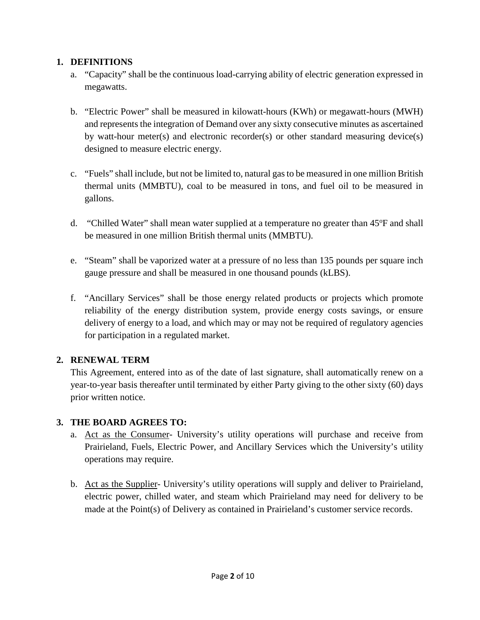### **1. DEFINITIONS**

- a. "Capacity" shall be the continuous load-carrying ability of electric generation expressed in megawatts.
- b. "Electric Power" shall be measured in kilowatt-hours (KWh) or megawatt-hours (MWH) and represents the integration of Demand over any sixty consecutive minutes as ascertained by watt-hour meter(s) and electronic recorder(s) or other standard measuring device(s) designed to measure electric energy.
- c. "Fuels" shall include, but not be limited to, natural gasto be measured in one million British thermal units (MMBTU), coal to be measured in tons, and fuel oil to be measured in gallons.
- d. "Chilled Water" shall mean water supplied at a temperature no greater than 45°F and shall be measured in one million British thermal units (MMBTU).
- e. "Steam" shall be vaporized water at a pressure of no less than 135 pounds per square inch gauge pressure and shall be measured in one thousand pounds (kLBS).
- f. "Ancillary Services" shall be those energy related products or projects which promote reliability of the energy distribution system, provide energy costs savings, or ensure delivery of energy to a load, and which may or may not be required of regulatory agencies for participation in a regulated market.

## **2. RENEWAL TERM**

This Agreement, entered into as of the date of last signature, shall automatically renew on a year-to-year basis thereafter until terminated by either Party giving to the other sixty (60) days prior written notice.

#### **3. THE BOARD AGREES TO:**

- a. Act as the Consumer- University's utility operations will purchase and receive from Prairieland, Fuels, Electric Power, and Ancillary Services which the University's utility operations may require.
- b. Act as the Supplier- University's utility operations will supply and deliver to Prairieland, electric power, chilled water, and steam which Prairieland may need for delivery to be made at the Point(s) of Delivery as contained in Prairieland's customer service records.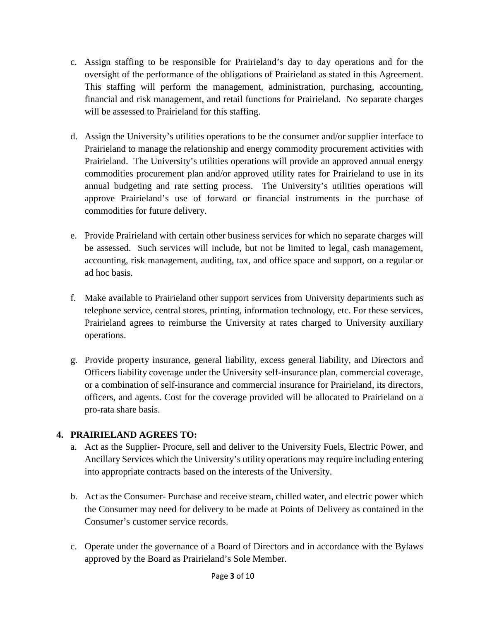- c. Assign staffing to be responsible for Prairieland's day to day operations and for the oversight of the performance of the obligations of Prairieland as stated in this Agreement. This staffing will perform the management, administration, purchasing, accounting, financial and risk management, and retail functions for Prairieland. No separate charges will be assessed to Prairieland for this staffing.
- d. Assign the University's utilities operations to be the consumer and/or supplier interface to Prairieland to manage the relationship and energy commodity procurement activities with Prairieland. The University's utilities operations will provide an approved annual energy commodities procurement plan and/or approved utility rates for Prairieland to use in its annual budgeting and rate setting process. The University's utilities operations will approve Prairieland's use of forward or financial instruments in the purchase of commodities for future delivery.
- e. Provide Prairieland with certain other business services for which no separate charges will be assessed. Such services will include, but not be limited to legal, cash management, accounting, risk management, auditing, tax, and office space and support, on a regular or ad hoc basis.
- f. Make available to Prairieland other support services from University departments such as telephone service, central stores, printing, information technology, etc. For these services, Prairieland agrees to reimburse the University at rates charged to University auxiliary operations.
- g. Provide property insurance, general liability, excess general liability, and Directors and Officers liability coverage under the University self-insurance plan, commercial coverage, or a combination of self-insurance and commercial insurance for Prairieland, its directors, officers, and agents. Cost for the coverage provided will be allocated to Prairieland on a pro-rata share basis.

## **4. PRAIRIELAND AGREES TO:**

- a. Act as the Supplier- Procure, sell and deliver to the University Fuels, Electric Power, and Ancillary Services which the University's utility operations may require including entering into appropriate contracts based on the interests of the University.
- b. Act as the Consumer- Purchase and receive steam, chilled water, and electric power which the Consumer may need for delivery to be made at Points of Delivery as contained in the Consumer's customer service records.
- c. Operate under the governance of a Board of Directors and in accordance with the Bylaws approved by the Board as Prairieland's Sole Member.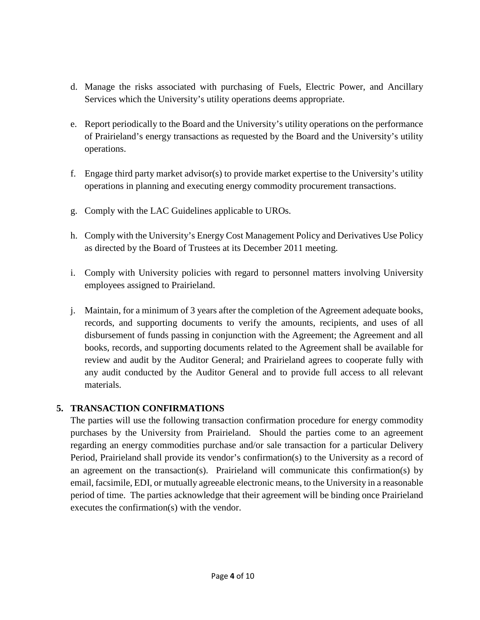- d. Manage the risks associated with purchasing of Fuels, Electric Power, and Ancillary Services which the University's utility operations deems appropriate.
- e. Report periodically to the Board and the University's utility operations on the performance of Prairieland's energy transactions as requested by the Board and the University's utility operations.
- f. Engage third party market advisor(s) to provide market expertise to the University's utility operations in planning and executing energy commodity procurement transactions.
- g. Comply with the LAC Guidelines applicable to UROs.
- h. Comply with the University's Energy Cost Management Policy and Derivatives Use Policy as directed by the Board of Trustees at its December 2011 meeting.
- i. Comply with University policies with regard to personnel matters involving University employees assigned to Prairieland.
- j. Maintain, for a minimum of 3 years after the completion of the Agreement adequate books, records, and supporting documents to verify the amounts, recipients, and uses of all disbursement of funds passing in conjunction with the Agreement; the Agreement and all books, records, and supporting documents related to the Agreement shall be available for review and audit by the Auditor General; and Prairieland agrees to cooperate fully with any audit conducted by the Auditor General and to provide full access to all relevant materials.

## **5. TRANSACTION CONFIRMATIONS**

The parties will use the following transaction confirmation procedure for energy commodity purchases by the University from Prairieland. Should the parties come to an agreement regarding an energy commodities purchase and/or sale transaction for a particular Delivery Period, Prairieland shall provide its vendor's confirmation(s) to the University as a record of an agreement on the transaction(s). Prairieland will communicate this confirmation(s) by email, facsimile, EDI, or mutually agreeable electronic means, to the University in a reasonable period of time. The parties acknowledge that their agreement will be binding once Prairieland executes the confirmation(s) with the vendor.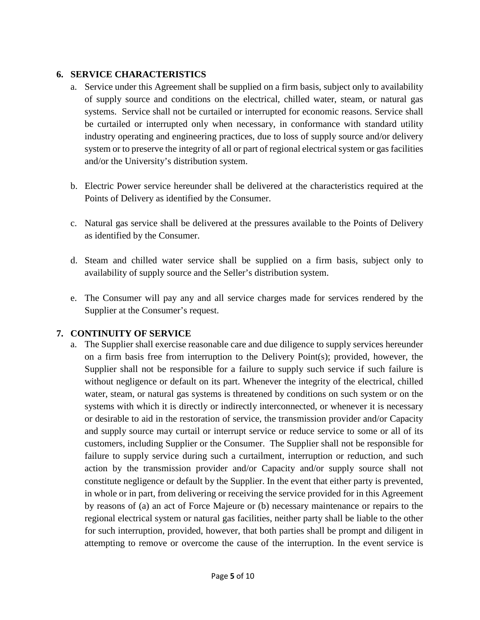#### **6. SERVICE CHARACTERISTICS**

- a. Service under this Agreement shall be supplied on a firm basis, subject only to availability of supply source and conditions on the electrical, chilled water, steam, or natural gas systems. Service shall not be curtailed or interrupted for economic reasons. Service shall be curtailed or interrupted only when necessary, in conformance with standard utility industry operating and engineering practices, due to loss of supply source and/or delivery system or to preserve the integrity of all or part of regional electrical system or gas facilities and/or the University's distribution system.
- b. Electric Power service hereunder shall be delivered at the characteristics required at the Points of Delivery as identified by the Consumer.
- c. Natural gas service shall be delivered at the pressures available to the Points of Delivery as identified by the Consumer.
- d. Steam and chilled water service shall be supplied on a firm basis, subject only to availability of supply source and the Seller's distribution system.
- e. The Consumer will pay any and all service charges made for services rendered by the Supplier at the Consumer's request.

## **7. CONTINUITY OF SERVICE**

a. The Supplier shall exercise reasonable care and due diligence to supply services hereunder on a firm basis free from interruption to the Delivery Point(s); provided, however, the Supplier shall not be responsible for a failure to supply such service if such failure is without negligence or default on its part. Whenever the integrity of the electrical, chilled water, steam, or natural gas systems is threatened by conditions on such system or on the systems with which it is directly or indirectly interconnected, or whenever it is necessary or desirable to aid in the restoration of service, the transmission provider and/or Capacity and supply source may curtail or interrupt service or reduce service to some or all of its customers, including Supplier or the Consumer. The Supplier shall not be responsible for failure to supply service during such a curtailment, interruption or reduction, and such action by the transmission provider and/or Capacity and/or supply source shall not constitute negligence or default by the Supplier. In the event that either party is prevented, in whole or in part, from delivering or receiving the service provided for in this Agreement by reasons of (a) an act of Force Majeure or (b) necessary maintenance or repairs to the regional electrical system or natural gas facilities, neither party shall be liable to the other for such interruption, provided, however, that both parties shall be prompt and diligent in attempting to remove or overcome the cause of the interruption. In the event service is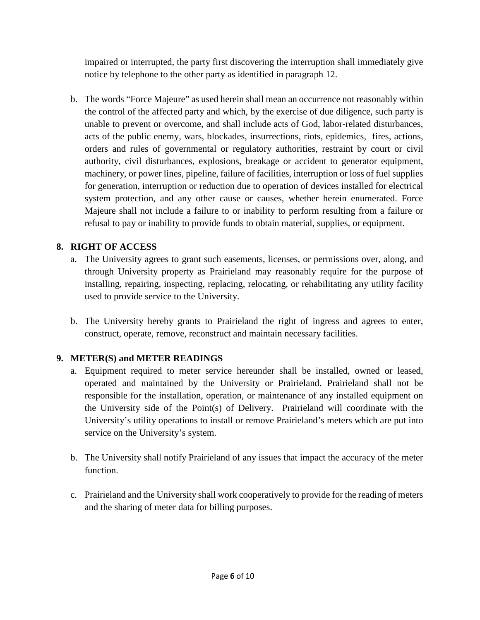impaired or interrupted, the party first discovering the interruption shall immediately give notice by telephone to the other party as identified in paragraph 12.

b. The words "Force Majeure" as used herein shall mean an occurrence not reasonably within the control of the affected party and which, by the exercise of due diligence, such party is unable to prevent or overcome, and shall include acts of God, labor-related disturbances, acts of the public enemy, wars, blockades, insurrections, riots, epidemics, fires, actions, orders and rules of governmental or regulatory authorities, restraint by court or civil authority, civil disturbances, explosions, breakage or accident to generator equipment, machinery, or power lines, pipeline, failure of facilities, interruption or loss of fuel supplies for generation, interruption or reduction due to operation of devices installed for electrical system protection, and any other cause or causes, whether herein enumerated. Force Majeure shall not include a failure to or inability to perform resulting from a failure or refusal to pay or inability to provide funds to obtain material, supplies, or equipment.

## **8. RIGHT OF ACCESS**

- a. The University agrees to grant such easements, licenses, or permissions over, along, and through University property as Prairieland may reasonably require for the purpose of installing, repairing, inspecting, replacing, relocating, or rehabilitating any utility facility used to provide service to the University.
- b. The University hereby grants to Prairieland the right of ingress and agrees to enter, construct, operate, remove, reconstruct and maintain necessary facilities.

## **9. METER(S) and METER READINGS**

- a. Equipment required to meter service hereunder shall be installed, owned or leased, operated and maintained by the University or Prairieland. Prairieland shall not be responsible for the installation, operation, or maintenance of any installed equipment on the University side of the Point(s) of Delivery. Prairieland will coordinate with the University's utility operations to install or remove Prairieland's meters which are put into service on the University's system.
- b. The University shall notify Prairieland of any issues that impact the accuracy of the meter function.
- c. Prairieland and the University shall work cooperatively to provide for the reading of meters and the sharing of meter data for billing purposes.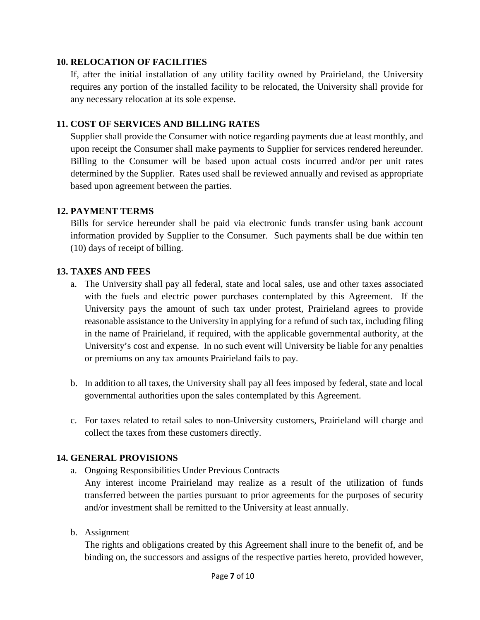#### **10. RELOCATION OF FACILITIES**

If, after the initial installation of any utility facility owned by Prairieland, the University requires any portion of the installed facility to be relocated, the University shall provide for any necessary relocation at its sole expense.

#### **11. COST OF SERVICES AND BILLING RATES**

Supplier shall provide the Consumer with notice regarding payments due at least monthly, and upon receipt the Consumer shall make payments to Supplier for services rendered hereunder. Billing to the Consumer will be based upon actual costs incurred and/or per unit rates determined by the Supplier. Rates used shall be reviewed annually and revised as appropriate based upon agreement between the parties.

#### **12. PAYMENT TERMS**

Bills for service hereunder shall be paid via electronic funds transfer using bank account information provided by Supplier to the Consumer. Such payments shall be due within ten (10) days of receipt of billing.

### **13. TAXES AND FEES**

- a. The University shall pay all federal, state and local sales, use and other taxes associated with the fuels and electric power purchases contemplated by this Agreement. If the University pays the amount of such tax under protest, Prairieland agrees to provide reasonable assistance to the University in applying for a refund of such tax, including filing in the name of Prairieland, if required, with the applicable governmental authority, at the University's cost and expense. In no such event will University be liable for any penalties or premiums on any tax amounts Prairieland fails to pay.
- b. In addition to all taxes, the University shall pay all fees imposed by federal, state and local governmental authorities upon the sales contemplated by this Agreement.
- c. For taxes related to retail sales to non-University customers, Prairieland will charge and collect the taxes from these customers directly.

## **14. GENERAL PROVISIONS**

a. Ongoing Responsibilities Under Previous Contracts

Any interest income Prairieland may realize as a result of the utilization of funds transferred between the parties pursuant to prior agreements for the purposes of security and/or investment shall be remitted to the University at least annually.

b. Assignment

The rights and obligations created by this Agreement shall inure to the benefit of, and be binding on, the successors and assigns of the respective parties hereto, provided however,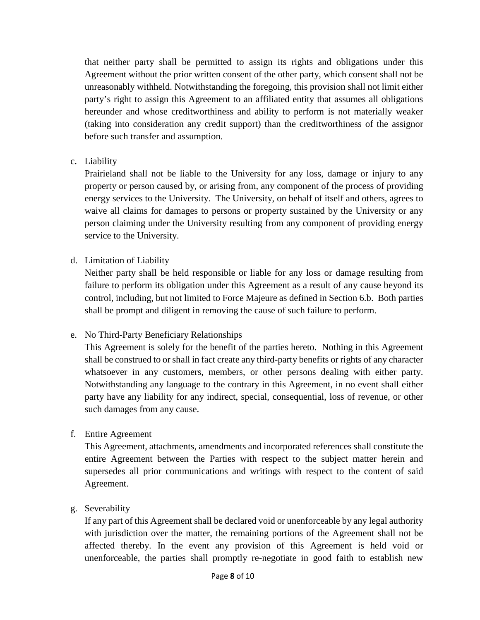that neither party shall be permitted to assign its rights and obligations under this Agreement without the prior written consent of the other party, which consent shall not be unreasonably withheld. Notwithstanding the foregoing, this provision shall not limit either party's right to assign this Agreement to an affiliated entity that assumes all obligations hereunder and whose creditworthiness and ability to perform is not materially weaker (taking into consideration any credit support) than the creditworthiness of the assignor before such transfer and assumption.

#### c. Liability

Prairieland shall not be liable to the University for any loss, damage or injury to any property or person caused by, or arising from, any component of the process of providing energy services to the University. The University, on behalf of itself and others, agrees to waive all claims for damages to persons or property sustained by the University or any person claiming under the University resulting from any component of providing energy service to the University.

### d. Limitation of Liability

Neither party shall be held responsible or liable for any loss or damage resulting from failure to perform its obligation under this Agreement as a result of any cause beyond its control, including, but not limited to Force Majeure as defined in Section 6.b. Both parties shall be prompt and diligent in removing the cause of such failure to perform.

#### e. No Third-Party Beneficiary Relationships

This Agreement is solely for the benefit of the parties hereto. Nothing in this Agreement shall be construed to or shall in fact create any third-party benefits or rights of any character whatsoever in any customers, members, or other persons dealing with either party. Notwithstanding any language to the contrary in this Agreement, in no event shall either party have any liability for any indirect, special, consequential, loss of revenue, or other such damages from any cause.

#### f. Entire Agreement

This Agreement, attachments, amendments and incorporated references shall constitute the entire Agreement between the Parties with respect to the subject matter herein and supersedes all prior communications and writings with respect to the content of said Agreement.

#### g. Severability

If any part of this Agreement shall be declared void or unenforceable by any legal authority with jurisdiction over the matter, the remaining portions of the Agreement shall not be affected thereby. In the event any provision of this Agreement is held void or unenforceable, the parties shall promptly re-negotiate in good faith to establish new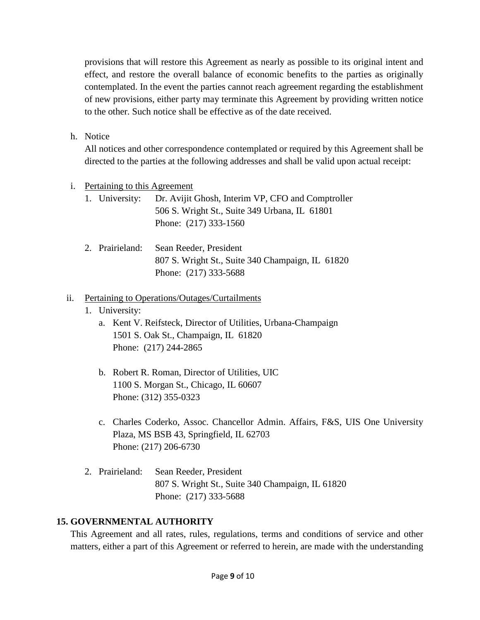provisions that will restore this Agreement as nearly as possible to its original intent and effect, and restore the overall balance of economic benefits to the parties as originally contemplated. In the event the parties cannot reach agreement regarding the establishment of new provisions, either party may terminate this Agreement by providing written notice to the other. Such notice shall be effective as of the date received.

h. Notice

All notices and other correspondence contemplated or required by this Agreement shall be directed to the parties at the following addresses and shall be valid upon actual receipt:

- i. Pertaining to this Agreement
	- 1. University: Dr. Avijit Ghosh, Interim VP, CFO and Comptroller 506 S. Wright St., Suite 349 Urbana, IL 61801 Phone: (217) 333-1560
	- 2. Prairieland: Sean Reeder, President 807 S. Wright St., Suite 340 Champaign, IL 61820 Phone: (217) 333-5688

#### ii. Pertaining to Operations/Outages/Curtailments

- 1. University:
	- a. Kent V. Reifsteck, Director of Utilities, Urbana-Champaign 1501 S. Oak St., Champaign, IL 61820 Phone: (217) 244-2865
	- b. Robert R. Roman, Director of Utilities, UIC 1100 S. Morgan St., Chicago, IL 60607 Phone: (312) 355-0323
	- c. Charles Coderko, Assoc. Chancellor Admin. Affairs, F&S, UIS One University Plaza, MS BSB 43, Springfield, IL 62703 Phone: (217) 206-6730
- 2. Prairieland: Sean Reeder, President 807 S. Wright St., Suite 340 Champaign, IL 61820 Phone: (217) 333-5688

#### **15. GOVERNMENTAL AUTHORITY**

This Agreement and all rates, rules, regulations, terms and conditions of service and other matters, either a part of this Agreement or referred to herein, are made with the understanding